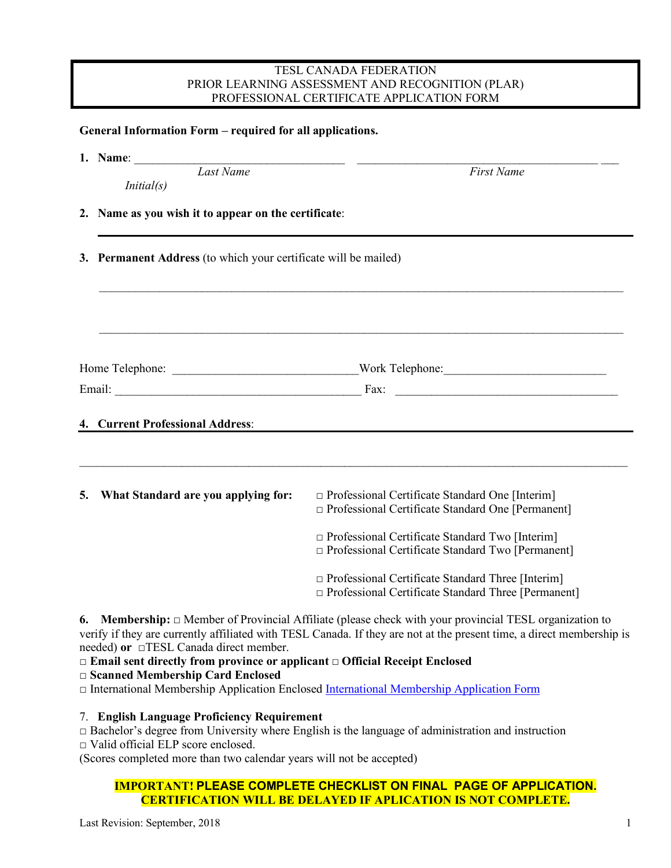#### TESL CANADA FEDERATION PRIOR LEARNING ASSESSMENT AND RECOGNITION (PLAR) PROFESSIONAL CERTIFICATE APPLICATION FORM

### **General Information Form – required for all applications.**

**1. Name**: \_\_\_\_\_\_\_\_\_\_\_\_\_\_\_\_\_\_\_\_\_\_\_\_\_\_\_\_\_\_\_\_\_\_\_ \_\_\_\_\_\_\_\_\_\_\_\_\_\_\_\_\_\_\_\_\_\_\_\_\_\_\_\_\_\_\_\_\_\_\_\_\_\_\_\_ \_\_\_

*Last Name First Name* 

 *Initial(s)*

- **2. Name as you wish it to appear on the certificate**:
- **3. Permanent Address** (to which your certificate will be mailed)

| Home Telephone: | Work Telephone: |
|-----------------|-----------------|
| Email:          | Fax:            |

 $\mathcal{L}_\mathcal{L} = \mathcal{L}_\mathcal{L} = \mathcal{L}_\mathcal{L} = \mathcal{L}_\mathcal{L} = \mathcal{L}_\mathcal{L} = \mathcal{L}_\mathcal{L} = \mathcal{L}_\mathcal{L} = \mathcal{L}_\mathcal{L} = \mathcal{L}_\mathcal{L} = \mathcal{L}_\mathcal{L} = \mathcal{L}_\mathcal{L} = \mathcal{L}_\mathcal{L} = \mathcal{L}_\mathcal{L} = \mathcal{L}_\mathcal{L} = \mathcal{L}_\mathcal{L} = \mathcal{L}_\mathcal{L} = \mathcal{L}_\mathcal{L}$ 

\_\_\_\_\_\_\_\_\_\_\_\_\_\_\_\_\_\_\_\_\_\_\_\_\_\_\_\_\_\_\_\_\_\_\_\_\_\_\_\_\_\_\_\_\_\_\_\_\_\_\_\_\_\_\_\_\_\_\_\_\_\_\_\_\_\_\_\_\_\_\_\_\_\_\_\_\_\_\_\_\_\_\_\_\_\_\_

\_\_\_\_\_\_\_\_\_\_\_\_\_\_\_\_\_\_\_\_\_\_\_\_\_\_\_\_\_\_\_\_\_\_\_\_\_\_\_\_\_\_\_\_\_\_\_\_\_\_\_\_\_\_\_\_\_\_\_\_\_\_\_\_\_\_\_\_\_\_\_\_\_\_\_\_\_\_\_\_\_\_\_\_\_\_\_

# **4. Current Professional Address**:

| 5. | What Standard are you applying for: | $\Box$ Professional Certificate Standard One [Interim]<br>$\Box$ Professional Certificate Standard One [Permanent]     |
|----|-------------------------------------|------------------------------------------------------------------------------------------------------------------------|
|    |                                     | $\Box$ Professional Certificate Standard Two [Interim]<br>$\Box$ Professional Certificate Standard Two [Permanent]     |
|    |                                     | $\Box$ Professional Certificate Standard Three [Interim]<br>$\Box$ Professional Certificate Standard Three [Permanent] |

**6. Membership:** □ Member of Provincial Affiliate (please check with your provincial TESL organization to verify if they are currently affiliated with TESL Canada. If they are not at the present time, a direct membership is needed) **or** □TESL Canada direct member.

**□ Email sent directly from province or applicant □ Official Receipt Enclosed**

## **□ Scanned Membership Card Enclosed**

□ International Membership Application Enclosed International Membership Application Form

7. **English Language Proficiency Requirement**

 $\Box$  Bachelor's degree from University where English is the language of administration and instruction

□ Valid official ELP score enclosed.

(Scores completed more than two calendar years will not be accepted)

## **IMPORTANT! PLEASE COMPLETE CHECKLIST ON FINAL PAGE OF APPLICATION. CERTIFICATION WILL BE DELAYED IF APLICATION IS NOT COMPLETE.**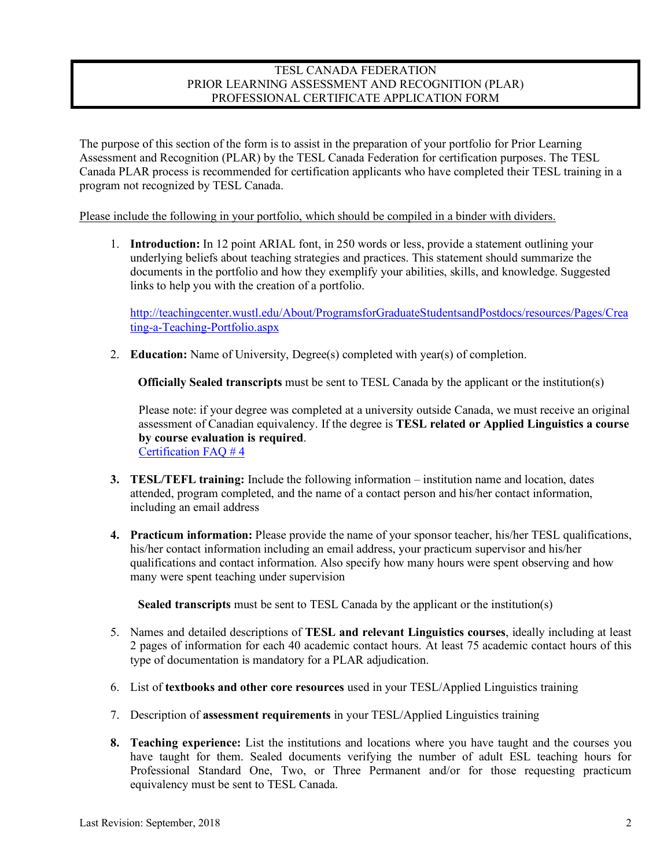### TESL CANADA FEDERATION PRIOR LEARNING ASSESSMENT AND RECOGNITION (PLAR) PROFESSIONAL CERTIFICATE APPLICATION FORM

The purpose of this section of the form is to assist in the preparation of your portfolio for Prior Learning Assessment and Recognition (PLAR) by the TESL Canada Federation for certification purposes. The TESL Canada PLAR process is recommended for certification applicants who have completed their TESL training in a program not recognized by TESL Canada.

Please include the following in your portfolio, which should be compiled in a binder with dividers.

1. **Introduction:** In 12 point ARIAL font, in 250 words or less, provide a statement outlining your underlying beliefs about teaching strategies and practices. This statement should summarize the documents in the portfolio and how they exemplify your abilities, skills, and knowledge. Suggested links to help you with the creation of a portfolio.

http://teachingcenter.wustl.edu/About/ProgramsforGraduateStudentsandPostdocs/resources/Pages/Crea ting-a-Teaching-Portfolio.aspx

2. **Education:** Name of University, Degree(s) completed with year(s) of completion.

**Officially Sealed transcripts** must be sent to TESL Canada by the applicant or the institution(s)

Please note: if your degree was completed at a university outside Canada, we must receive an original assessment of Canadian equivalency. If the degree is **TESL related or Applied Linguistics a course by course evaluation is required**. Certification FAQ # 4

- **3. TESL/TEFL training:** Include the following information institution name and location, dates attended, program completed, and the name of a contact person and his/her contact information, including an email address
- **4. Practicum information:** Please provide the name of your sponsor teacher, his/her TESL qualifications, his/her contact information including an email address, your practicum supervisor and his/her qualifications and contact information. Also specify how many hours were spent observing and how many were spent teaching under supervision

**Sealed transcripts** must be sent to TESL Canada by the applicant or the institution(s)

- 5. Names and detailed descriptions of **TESL and relevant Linguistics courses**, ideally including at least 2 pages of information for each 40 academic contact hours. At least 75 academic contact hours of this type of documentation is mandatory for a PLAR adjudication.
- 6. List of **textbooks and other core resources** used in your TESL/Applied Linguistics training
- 7. Description of **assessment requirements** in your TESL/Applied Linguistics training
- **8. Teaching experience:** List the institutions and locations where you have taught and the courses you have taught for them. Sealed documents verifying the number of adult ESL teaching hours for Professional Standard One, Two, or Three Permanent and/or for those requesting practicum equivalency must be sent to TESL Canada.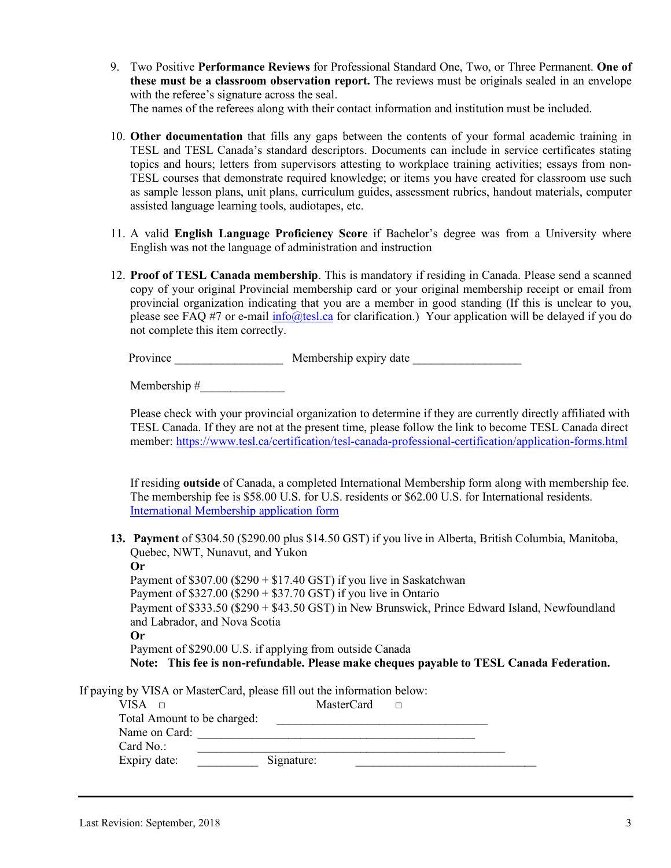- 9. Two Positive **Performance Reviews** for Professional Standard One, Two, or Three Permanent. **One of these must be a classroom observation report.** The reviews must be originals sealed in an envelope with the referee's signature across the seal. The names of the referees along with their contact information and institution must be included.
- 10. **Other documentation** that fills any gaps between the contents of your formal academic training in TESL and TESL Canada's standard descriptors. Documents can include in service certificates stating topics and hours; letters from supervisors attesting to workplace training activities; essays from non-TESL courses that demonstrate required knowledge; or items you have created for classroom use such as sample lesson plans, unit plans, curriculum guides, assessment rubrics, handout materials, computer assisted language learning tools, audiotapes, etc.
- 11. A valid **English Language Proficiency Score** if Bachelor's degree was from a University where English was not the language of administration and instruction
- 12. **Proof of TESL Canada membership**. This is mandatory if residing in Canada. Please send a scanned copy of your original Provincial membership card or your original membership receipt or email from provincial organization indicating that you are a member in good standing (If this is unclear to you, please see FAQ #7 or e-mail info@tesl.ca for clarification.) Your application will be delayed if you do not complete this item correctly.

Province \_\_\_\_\_\_\_\_\_\_\_\_\_\_\_\_\_\_ Membership expiry date \_\_\_\_\_\_\_\_\_\_\_\_\_\_\_\_\_\_

Membership #\_\_\_\_\_\_\_\_\_\_\_\_\_\_

Please check with your provincial organization to determine if they are currently directly affiliated with TESL Canada. If they are not at the present time, please follow the link to become TESL Canada direct member: https://www.tesl.ca/certification/tesl-canada-professional-certification/application-forms.html

If residing **outside** of Canada, a completed International Membership form along with membership fee. The membership fee is \$58.00 U.S. for U.S. residents or \$62.00 U.S. for International residents. International Membership application form

**13. Payment** of \$304.50 (\$290.00 plus \$14.50 GST) if you live in Alberta, British Columbia, Manitoba, Quebec, NWT, Nunavut, and Yukon

**Or** Payment of  $$307.00$  ( $$290 + $17.40$  GST) if you live in Saskatchwan Payment of  $$327.00$  ( $$290 + $37.70$  GST) if you live in Ontario Payment of \$333.50 (\$290 + \$43.50 GST) in New Brunswick, Prince Edward Island, Newfoundland and Labrador, and Nova Scotia **Or** Payment of \$290.00 U.S. if applying from outside Canada **Note: This fee is non-refundable. Please make cheques payable to TESL Canada Federation.**

If paying by VISA or MasterCard, please fill out the information below:

| VISA.<br>$\Box$             | MasterCard | П |  |
|-----------------------------|------------|---|--|
| Total Amount to be charged: |            |   |  |
| Name on Card:               |            |   |  |
| Card No.:                   |            |   |  |
| Expiry date:                | Signature: |   |  |
|                             |            |   |  |